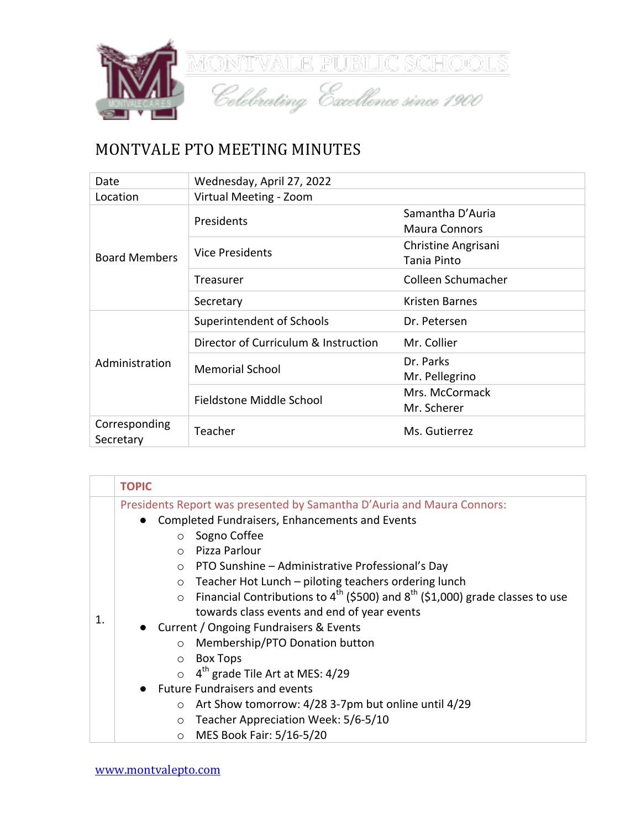

## MONTVALE PTO MEETING MINUTES

| Date                       | Wednesday, April 27, 2022            |                                          |
|----------------------------|--------------------------------------|------------------------------------------|
| Location                   | Virtual Meeting - Zoom               |                                          |
|                            | Presidents                           | Samantha D'Auria<br><b>Maura Connors</b> |
| <b>Board Members</b>       | <b>Vice Presidents</b>               | Christine Angrisani<br>Tania Pinto       |
|                            | Treasurer                            | Colleen Schumacher                       |
|                            | Secretary                            | Kristen Barnes                           |
|                            | Superintendent of Schools            | Dr. Petersen                             |
| Administration             | Director of Curriculum & Instruction | Mr. Collier                              |
|                            | <b>Memorial School</b>               | Dr. Parks<br>Mr. Pellegrino              |
|                            | Fieldstone Middle School             | Mrs. McCormack<br>Mr. Scherer            |
| Corresponding<br>Secretary | Teacher                              | Ms. Gutierrez                            |

|               | <b>TOPIC</b>                                                                                                  |  |
|---------------|---------------------------------------------------------------------------------------------------------------|--|
|               | Presidents Report was presented by Samantha D'Auria and Maura Connors:                                        |  |
| $\mathbf 1$ . | Completed Fundraisers, Enhancements and Events                                                                |  |
|               | Sogno Coffee<br>$\circ$                                                                                       |  |
|               | Pizza Parlour<br>$\bigcap$                                                                                    |  |
|               | $\circ$ PTO Sunshine – Administrative Professional's Day                                                      |  |
|               | Teacher Hot Lunch - piloting teachers ordering lunch<br>$\circ$                                               |  |
|               | $\circ$ Financial Contributions to 4 <sup>th</sup> (\$500) and 8 <sup>th</sup> (\$1,000) grade classes to use |  |
|               | towards class events and end of year events                                                                   |  |
|               | Current / Ongoing Fundraisers & Events<br>$\bullet$                                                           |  |
|               | Membership/PTO Donation button<br>$\circ$                                                                     |  |
|               | <b>Box Tops</b><br>$\circ$                                                                                    |  |
|               | $\circ$ 4 <sup>th</sup> grade Tile Art at MES: 4/29                                                           |  |
|               | <b>Future Fundraisers and events</b>                                                                          |  |
|               | Art Show tomorrow: 4/28 3-7pm but online until 4/29<br>$\circ$                                                |  |
|               | Teacher Appreciation Week: 5/6-5/10<br>$\circ$                                                                |  |
|               | MES Book Fair: 5/16-5/20<br>$\circ$                                                                           |  |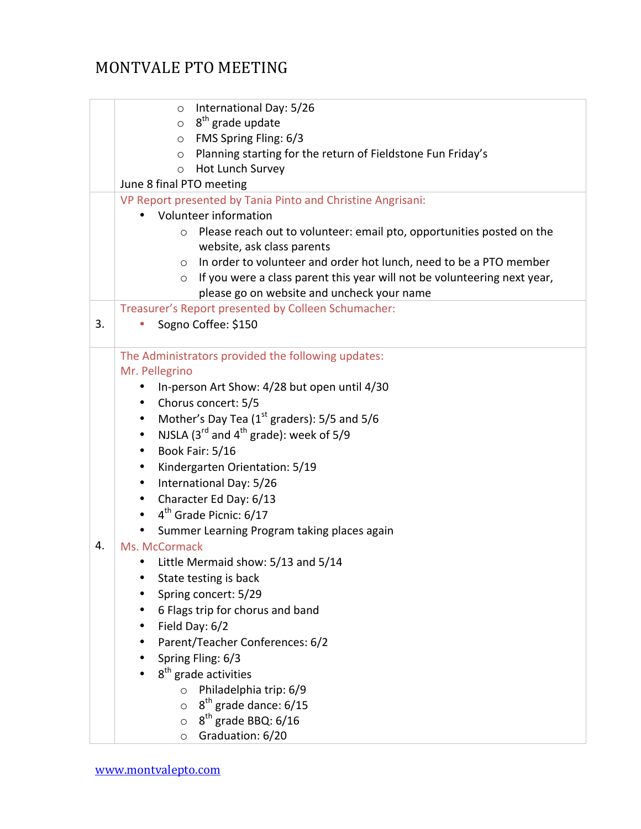## MONTVALE PTO MEETING

|    | International Day: 5/26<br>$\circ$<br>$\circ$ 8 <sup>th</sup> grade update<br>$\circ$ FMS Spring Fling: 6/3<br>Planning starting for the return of Fieldstone Fun Friday's<br>$\circ$<br>Hot Lunch Survey<br>$\circ$ |  |  |
|----|----------------------------------------------------------------------------------------------------------------------------------------------------------------------------------------------------------------------|--|--|
|    | June 8 final PTO meeting                                                                                                                                                                                             |  |  |
|    |                                                                                                                                                                                                                      |  |  |
|    | VP Report presented by Tania Pinto and Christine Angrisani:<br>Volunteer information                                                                                                                                 |  |  |
|    |                                                                                                                                                                                                                      |  |  |
|    | Please reach out to volunteer: email pto, opportunities posted on the<br>$\circ$                                                                                                                                     |  |  |
|    | website, ask class parents                                                                                                                                                                                           |  |  |
|    | In order to volunteer and order hot lunch, need to be a PTO member<br>$\circ$                                                                                                                                        |  |  |
|    | If you were a class parent this year will not be volunteering next year,<br>$\circ$                                                                                                                                  |  |  |
|    | please go on website and uncheck your name                                                                                                                                                                           |  |  |
|    | Treasurer's Report presented by Colleen Schumacher:                                                                                                                                                                  |  |  |
| 3. | Sogno Coffee: \$150                                                                                                                                                                                                  |  |  |
|    |                                                                                                                                                                                                                      |  |  |
|    | The Administrators provided the following updates:                                                                                                                                                                   |  |  |
|    | Mr. Pellegrino                                                                                                                                                                                                       |  |  |
|    | In-person Art Show: 4/28 but open until 4/30<br>٠                                                                                                                                                                    |  |  |
|    | Chorus concert: 5/5<br>٠                                                                                                                                                                                             |  |  |
|    | Mother's Day Tea (1 <sup>st</sup> graders): 5/5 and 5/6<br>$\bullet$                                                                                                                                                 |  |  |
|    | NJSLA ( $3^{rd}$ and $4^{th}$ grade): week of 5/9<br>$\bullet$                                                                                                                                                       |  |  |
|    | Book Fair: 5/16<br>$\bullet$                                                                                                                                                                                         |  |  |
|    | Kindergarten Orientation: 5/19<br>٠                                                                                                                                                                                  |  |  |
|    | International Day: 5/26<br>$\bullet$                                                                                                                                                                                 |  |  |
|    | Character Ed Day: 6/13<br>$\bullet$                                                                                                                                                                                  |  |  |
|    | 4 <sup>th</sup> Grade Picnic: 6/17<br>$\bullet$                                                                                                                                                                      |  |  |
|    | Summer Learning Program taking places again                                                                                                                                                                          |  |  |
| 4. | Ms. McCormack                                                                                                                                                                                                        |  |  |
|    | Little Mermaid show: 5/13 and 5/14                                                                                                                                                                                   |  |  |
|    | State testing is back                                                                                                                                                                                                |  |  |
|    | Spring concert: 5/29                                                                                                                                                                                                 |  |  |
|    | 6 Flags trip for chorus and band                                                                                                                                                                                     |  |  |
|    | Field Day: 6/2                                                                                                                                                                                                       |  |  |
|    | Parent/Teacher Conferences: 6/2                                                                                                                                                                                      |  |  |
|    | Spring Fling: 6/3                                                                                                                                                                                                    |  |  |
|    | 8 <sup>th</sup> grade activities                                                                                                                                                                                     |  |  |
|    | Philadelphia trip: 6/9<br>$\circ$                                                                                                                                                                                    |  |  |
|    | 8 <sup>th</sup> grade dance: 6/15<br>$\circ$                                                                                                                                                                         |  |  |
|    | $8th$ grade BBQ: 6/16<br>$\circ$                                                                                                                                                                                     |  |  |
|    | Graduation: 6/20<br>O                                                                                                                                                                                                |  |  |
|    |                                                                                                                                                                                                                      |  |  |